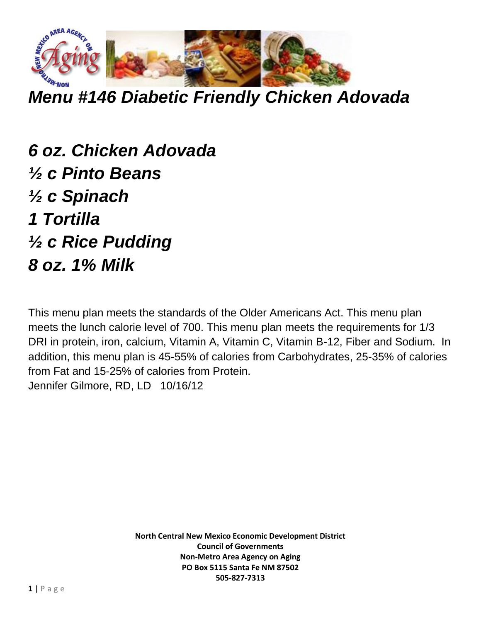

*Menu #146 Diabetic Friendly Chicken Adovada*

*6 oz. Chicken Adovada ½ c Pinto Beans ½ c Spinach 1 Tortilla ½ c Rice Pudding 8 oz. 1% Milk* 

This menu plan meets the standards of the Older Americans Act. This menu plan meets the lunch calorie level of 700. This menu plan meets the requirements for 1/3 DRI in protein, iron, calcium, Vitamin A, Vitamin C, Vitamin B-12, Fiber and Sodium. In addition, this menu plan is 45-55% of calories from Carbohydrates, 25-35% of calories from Fat and 15-25% of calories from Protein. Jennifer Gilmore, RD, LD 10/16/12

> **North Central New Mexico Economic Development District Council of Governments Non-Metro Area Agency on Aging PO Box 5115 Santa Fe NM 87502 505-827-7313**